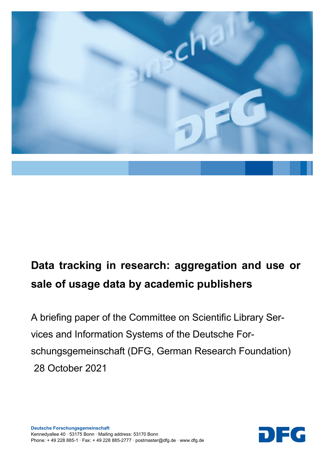

# Data tracking in research: aggregation and use or sale of usage data by academic publishers

A briefing paper of the Committee on Scientific Library Services and Information Systems of the Deutsche Forschungsgemeinschaft (DFG, German Research Foundation) 28 October 2021

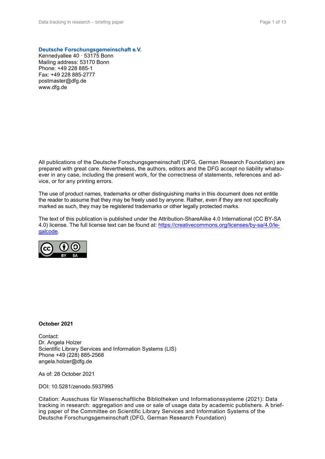Deutsche Forschungsgemeinschaft e. V.

Kennedyallee 40 · 53175 Bonn Mailing address: 53170 Bonn Phone: +49 228 885-1 Fax: +49 228 885-2777 postmaster@dfg.de www.dfg.de

All publications of the Deutsche Forschungsgemeinschaft (DFG, German Research Foundation) are prepared with great care. Nevertheless, the authors, editors and the DFG accept no liability whatsoever in any case, including the present work, for the correctness of statements, references and advice, or for any printing errors.

The use of product names, trademarks or other distinguishing marks in this document does not entitle the reader to assume that they may be freely used by anyone. Rather, even if they are not specifically marked as such, they may be registered trademarks or other legally protected marks.

The text of this publication is published under the Attribution-ShareAlike 4.0 International (CC BY-SA 4.0) license. The full license text can be found at: https://creativecommons.org/licenses/by-sa/4.0/legalcode.



#### October 2021

Contact: Dr. Angela Holzer Scientific Library Services and Information Systems (LIS) Phone +49 (228) 885-2568 angela.holzer@dfg.de

As of: 28 October 2021

DOI: 10.5281/zenodo.5937995

Citation: Ausschuss für Wissenschaftliche Bibliotheken und Informationssysteme (2021): Data tracking in research: aggregation and use or sale of usage data by academic publishers. A briefing paper of the Committee on Scientific Library Services and Information Systems of the Deutsche Forschungsgemeinschaft (DFG, German Research Foundation)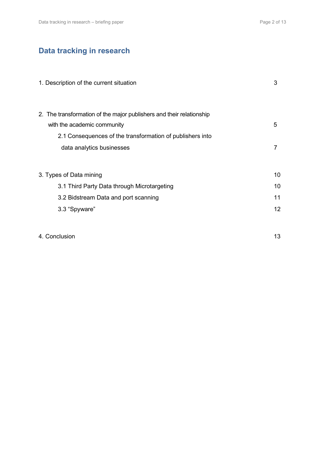# Data tracking in research

| 1. Description of the current situation                                                                                                                          | 3  |
|------------------------------------------------------------------------------------------------------------------------------------------------------------------|----|
| 2. The transformation of the major publishers and their relationship<br>with the academic community<br>2.1 Consequences of the transformation of publishers into | 5  |
| data analytics businesses                                                                                                                                        | 7  |
| 3. Types of Data mining                                                                                                                                          | 10 |
| 3.1 Third Party Data through Microtargeting                                                                                                                      | 10 |
| 3.2 Bidstream Data and port scanning                                                                                                                             | 11 |
| 3.3 "Spyware"                                                                                                                                                    | 12 |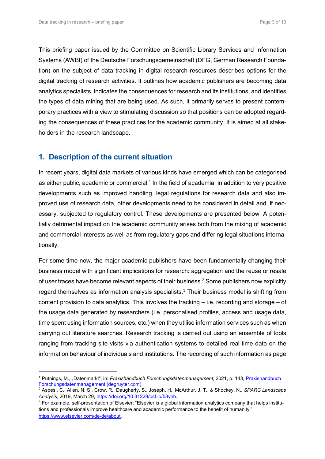This briefing paper issued by the Committee on Scientific Library Services and Information Systems (AWBI) of the Deutsche Forschungsgemeinschaft (DFG, German Research Foundation) on the subject of data tracking in digital research resources describes options for the digital tracking of research activities. It outlines how academic publishers are becoming data analytics specialists, indicates the consequences for research and its institutions, and identifies the types of data mining that are being used. As such, it primarily serves to present contemporary practices with a view to stimulating discussion so that positions can be adopted regarding the consequences of these practices for the academic community. It is aimed at all stakeholders in the research landscape.

## 1. Description of the current situation

In recent years, digital data markets of various kinds have emerged which can be categorised as either public, academic or commercial.<sup>1</sup> In the field of academia, in addition to very positive developments such as improved handling, legal regulations for research data and also improved use of research data, other developments need to be considered in detail and, if necessary, subjected to regulatory control. These developments are presented below. A potentially detrimental impact on the academic community arises both from the mixing of academic and commercial interests as well as from regulatory gaps and differing legal situations internationally.

For some time now, the major academic publishers have been fundamentally changing their business model with significant implications for research: aggregation and the reuse or resale of user traces have become relevant aspects of their business.<sup>2</sup> Some publishers now explicitly regard themselves as information analysis specialists. $3$  Their business model is shifting from content provision to data analytics. This involves the tracking – i.e. recording and storage – of the usage data generated by researchers (i.e. personalised profiles, access and usage data, time spent using information sources, etc.) when they utilise information services such as when carrying out literature searches. Research tracking is carried out using an ensemble of tools ranging from tracking site visits via authentication systems to detailed real-time data on the information behaviour of individuals and institutions. The recording of such information as page

<sup>&</sup>lt;sup>1</sup> Putnings, M., "Datenmarkt", in: Praxishandbuch Forschungsdatenmanagement, 2021, p. 143, <u>Praxishandbuch</u> Forschungsdatenmanagement (degruyter.com).

<sup>&</sup>lt;sup>2</sup> Aspesi, C., Allen, N. S., Crow, R., Daugherty, S., Joseph, H., McArthur, J. T., & Shockey, N., *SPARC Landscape* Analysis, 2019, March 29, https://doi.org/10.31229/osf.io/58yhb.

 $^3$  For example, self-presentation of Elsevier: "Elsevier is a global information analytics company that helps institutions and professionals improve healthcare and academic performance to the benefit of humanity." https://www.elsevier.com/de-de/about.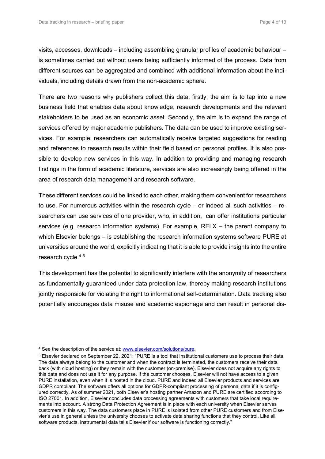visits, accesses, downloads – including assembling granular profiles of academic behaviour – is sometimes carried out without users being sufficiently informed of the process. Data from different sources can be aggregated and combined with additional information about the individuals, including details drawn from the non-academic sphere.

There are two reasons why publishers collect this data: firstly, the aim is to tap into a new business field that enables data about knowledge, research developments and the relevant stakeholders to be used as an economic asset. Secondly, the aim is to expand the range of services offered by major academic publishers. The data can be used to improve existing services. For example, researchers can automatically receive targeted suggestions for reading and references to research results within their field based on personal profiles. It is also possible to develop new services in this way. In addition to providing and managing research findings in the form of academic literature, services are also increasingly being offered in the area of research data management and research software.

These different services could be linked to each other, making them convenient for researchers to use. For numerous activities within the research cycle – or indeed all such activities – researchers can use services of one provider, who, in addition, can offer institutions particular services (e.g. research information systems). For example, RELX – the parent company to which Elsevier belongs – is establishing the research information systems software PURE at universities around the world, explicitly indicating that it is able to provide insights into the entire research cycle.<sup>45</sup>

This development has the potential to significantly interfere with the anonymity of researchers as fundamentally guaranteed under data protection law, thereby making research institutions jointly responsible for violating the right to informational self-determination. Data tracking also potentially encourages data misuse and academic espionage and can result in personal dis-

<sup>&</sup>lt;sup>4</sup> See the description of the service at: **www.elsevier.com/solutions/pure.** 

<sup>5</sup> Elsevier declared on September 22, 2021: "PURE is a tool that institutional customers use to process their data. The data always belong to the customer and when the contract is terminated, the customers receive their data back (with cloud hosting) or they remain with the customer (on-premise). Elsevier does not acquire any rights to this data and does not use it for any purpose. If the customer chooses, Elsevier will not have access to a given PURE installation, even when it is hosted in the cloud. PURE and indeed all Elsevier products and services are GDPR compliant. The software offers all options for GDPR-compliant processing of personal data if it is configured correctly. As of summer 2021, both Elsevier's hosting partner Amazon and PURE are certified according to ISO 27001. In addition, Elsevier concludes data processing agreements with customers that take local requirements into account. A strong Data Protection Agreement is in place with each university when Elsevier serves customers in this way. The data customers place in PURE is isolated from other PURE customers and from Elsevier's use in general unless the university chooses to activate data sharing functions that they control. Like all software products, instrumental data tells Elsevier if our software is functioning correctly."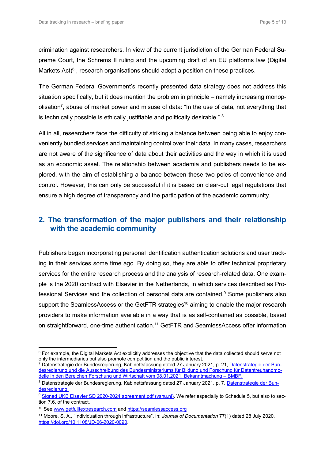crimination against researchers. In view of the current jurisdiction of the German Federal Supreme Court, the Schrems II ruling and the upcoming draft of an EU platforms law (Digital Markets Act) $6$ , research organisations should adopt a position on these practices.

The German Federal Government's recently presented data strategy does not address this situation specifically, but it does mention the problem in principle – namely increasing monopolisation<sup>7</sup>, abuse of market power and misuse of data: "In the use of data, not everything that is technically possible is ethically justifiable and politically desirable." <sup>8</sup>

All in all, researchers face the difficulty of striking a balance between being able to enjoy conveniently bundled services and maintaining control over their data. In many cases, researchers are not aware of the significance of data about their activities and the way in which it is used as an economic asset. The relationship between academia and publishers needs to be explored, with the aim of establishing a balance between these two poles of convenience and control. However, this can only be successful if it is based on clear-cut legal regulations that ensure a high degree of transparency and the participation of the academic community.

# 2. The transformation of the major publishers and their relationship with the academic community

Publishers began incorporating personal identification authentication solutions and user tracking in their services some time ago. By doing so, they are able to offer technical proprietary services for the entire research process and the analysis of research-related data. One example is the 2020 contract with Elsevier in the Netherlands, in which services described as Professional Services and the collection of personal data are contained.<sup>9</sup> Some publishers also support the SeamlessAccess or the GetFTR strategies<sup>10</sup> aiming to enable the major research providers to make information available in a way that is as self-contained as possible, based on straightforward, one-time authentication.<sup>11</sup> GetFTR and SeamlessAccess offer information

 $\overline{a}$ 

 $^6$  For example, the Digital Markets Act explicitly addresses the objective that the data collected should serve not only the intermediaries but also promote competition and the public interest.

<sup>&</sup>lt;sup>7</sup> Datenstrategie der Bundesregierung, Kabinettsfassung dated 27 January 2021, p. 21, <u>Datenstrategie der Bun-</u> desregierung und die Ausschreibung des Bundesministeriums für Bildung und Forschung für Datentreuhandmodelle in den Bereichen Forschung und Wirtschaft vom 08.01.2021, Bekanntmachung – BMBF.

<sup>&</sup>lt;sup>8</sup> Datenstrategie der Bundesregierung, Kabinettsfassung dated 27 January 2021, p. 7, <u>Datenstrategie der Bun-</u> desregierung.

<sup>&</sup>lt;sup>9</sup> Signed UKB Elsevier SD 2020-2024 agreement.pdf (vsnu.nl). We refer especially to Schedule 5, but also to section 7.6. of the contract.

<sup>10</sup> See www.getfulltextresearch.com and https://seamlessaccess.org

<sup>&</sup>lt;sup>11</sup> Moore, S. A., "Individuation through infrastructure", in: Journal of Documentation 77(1) dated 28 July 2020, https://doi.org/10.1108/JD-06-2020-0090.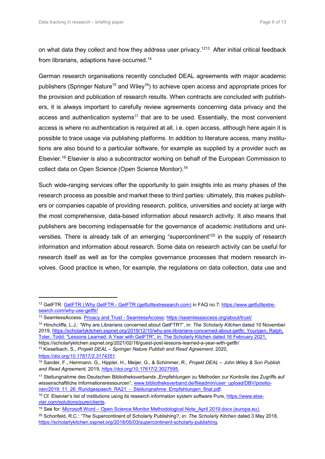-

on what data they collect and how they address user privacy.<sup>1213</sup> After initial critical feedback from librarians, adaptions have occurred.<sup>14</sup>

German research organisations recently concluded DEAL agreements with major academic publishers (Springer Nature<sup>15</sup> and Wiley<sup>16</sup>) to achieve open access and appropriate prices for the provision and publication of research results. When contracts are concluded with publishers, it is always important to carefully review agreements concerning data privacy and the access and authentication systems<sup>17</sup> that are to be used. Essentially, the most convenient access is where no authentication is required at all, i.e. open access, although here again it is possible to trace usage via publishing platforms. In addition to literature access, many institutions are also bound to a particular software, for example as supplied by a provider such as Elsevier.<sup>18</sup> Elsevier is also a subcontractor working on behalf of the European Commission to collect data on Open Science (Open Science Monitor).<sup>19</sup>

Such wide-ranging services offer the opportunity to gain insights into as many phases of the research process as possible and market these to third parties: ultimately, this makes publishers or companies capable of providing research, politics, universities and society at large with the most comprehensive, data-based information about research activity. It also means that publishers are becoming indispensable for the governance of academic institutions and universities. There is already talk of an emerging "supercontinent"<sup>20</sup> in the supply of research information and information about research. Some data on research activity can be useful for research itself as well as for the complex governance processes that modern research involves. Good practice is when, for example, the regulations on data collection, data use and

<sup>15</sup> Kieselbach, S., Projekt DEAL – Springer Nature Publish and Read Agreement. 2020, https://doi.org/10.17617/2.3174351.

<sup>12</sup> GetFTR: GetFTR | Why GetFTR - GetFTR (getfulltextresearch.com) in FAQ no.7: https://www.getfulltextresearch.com/why-use-getftr/

<sup>13</sup> SeamlessAccess: Privacy and Trust - SeamlessAccess: https://seamlessaccess.org/about/trust/

<sup>14</sup> Hinchcliffe, L.J.: "Why are Librarians concerned about GetFTR?", in: The Scholarly Kitchen dated 10 November 2019, https://scholarlykitchen.sspnet.org/2019/12/10/why-are-librarians-concerned-about-getftr; Youngen, Ralph, Toler, Todd: "Lessons Learned: A Year with GetFTR", in: The Scholarly Kitchen dated 16 February 2021, https://scholarlykitchen.sspnet.org/2021/02/16/guest-post-lessons-learned-a-year-with-getftr/

<sup>&</sup>lt;sup>16</sup> Sander, F., Herrmann, G., Hippler, H., Meijer, G., & Schimmer, R., Projekt DEAL – John Wiley & Son Publish and Read Agreement, 2019, https://doi.org/10.17617/2.3027595.

<sup>17</sup> Stellungnahme des Deutschen Bibliotheksverbands "Empfehlungen zu Methoden zur Kontrolle des Zugriffs auf wissenschaftliche Informationsressourcen", www.bibliotheksverband.de/fileadmin/user\_upload/DBV/positionen/2019 11 26 Rundgespaech RA21 - Stellungnahme Empfehlungen final.pdf.

<sup>&</sup>lt;sup>18</sup> Cf. Elsevier's list of institutions using its research information system software Pure, https://www.elsevier.com/solutions/pure/clients.

<sup>&</sup>lt;sup>19</sup> See for: Microsoft Word – Open Science Monitor Methodological Note April 2019.docx (europa.eu).

<sup>&</sup>lt;sup>20</sup> Schonfeld, R.C.: "The Supercontinent of Scholarly Publishing?, in: The Scholarly Kitchen dated 3 May 2018, https://scholarlykitchen.sspnet.org/2018/05/03/supercontinent-scholarly-publishing.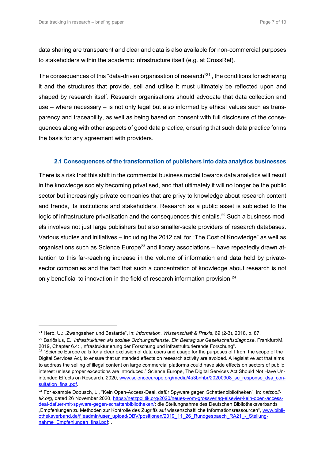data sharing are transparent and clear and data is also available for non-commercial purposes to stakeholders within the academic infrastructure itself (e.g. at CrossRef).

The consequences of this "data-driven organisation of research"<sup>21</sup>, the conditions for achieving it and the structures that provide, sell and utilise it must ultimately be reflected upon and shaped by research itself. Research organisations should advocate that data collection and use – where necessary – is not only legal but also informed by ethical values such as transparency and traceability, as well as being based on consent with full disclosure of the consequences along with other aspects of good data practice, ensuring that such data practice forms the basis for any agreement with providers.

### 2.1 Consequences of the transformation of publishers into data analytics businesses

There is a risk that this shift in the commercial business model towards data analytics will result in the knowledge society becoming privatised, and that ultimately it will no longer be the public sector but increasingly private companies that are privy to knowledge about research content and trends, its institutions and stakeholders. Research as a public asset is subjected to the logic of infrastructure privatisation and the consequences this entails.<sup>22</sup> Such a business models involves not just large publishers but also smaller-scale providers of research databases. Various studies and initiatives – including the 2012 call for "The Cost of Knowledge" as well as organisations such as Science Europe<sup>23</sup> and library associations – have repeatedly drawn attention to this far-reaching increase in the volume of information and data held by privatesector companies and the fact that such a concentration of knowledge about research is not only beneficial to innovation in the field of research information provision.<sup>24</sup>

<sup>&</sup>lt;sup>21</sup> Herb, U.: "Zwangsehen und Bastarde", in: *Information, Wissenschaft & Praxis*, 69 (2-3), 2018, p. 87.

<sup>&</sup>lt;sup>22</sup> Barlösius, E., Infrastrukturen als soziale Ordnungsdienste. Ein Beitrag zur Gesellschaftsdiagnose. Frankfurt/M. 2019, Chapter 6.4: "Infrastrukturierung der Forschung und infrastrukturierende Forschung".

<sup>&</sup>lt;sup>23</sup> "Science Europe calls for a clear exclusion of data users and usage for the purposes of f from the scope of the Digital Services Act, to ensure that unintended effects on research activity are avoided. A legislative act that aims to address the selling of illegal content on large commercial platforms could have side effects on sectors of public interest unless proper exceptions are introduced." Science Europe, The Digital Services Act Should Not Have Unintended Effects on Research, 2020, www.scienceeurope.org/media/4s3bnhbr/20200908\_se\_response\_dsa\_consultation\_final.pdf

<sup>&</sup>lt;sup>24</sup> For example Dobusch, L., "Kein Open-Access-Deal, dafür Spyware gegen Schattenbibliotheken", in: *netzpoli*tik.org, dated 26 November 2020, https://netzpolitik.org/2020/neues-vom-grossverlag-elsevier-kein-open-accessdeal-dafuer-mit-spyware-gegen-schattenbibliotheken/; die Stellungnahme des Deutschen Bibliotheksverbands "Empfehlungen zu Methoden zur Kontrolle des Zugriffs auf wissenschaftliche Informationsressourcen", www.bibliotheksverband.de/fileadmin/user\_upload/DBV/positionen/2019\_11\_26\_Rundgespaech\_RA21\_-\_Stellungnahme\_Empfehlungen\_final.pdf;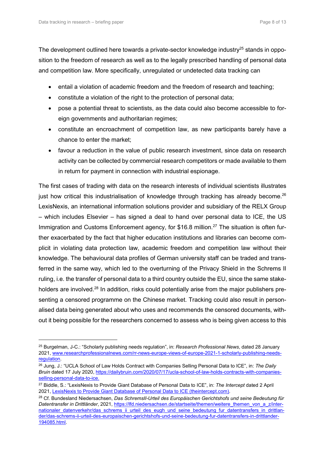The development outlined here towards a private-sector knowledge industry<sup>25</sup> stands in opposition to the freedom of research as well as to the legally prescribed handling of personal data and competition law. More specifically, unregulated or undetected data tracking can

- entail a violation of academic freedom and the freedom of research and teaching;
- constitute a violation of the right to the protection of personal data;
- pose a potential threat to scientists, as the data could also become accessible to foreign governments and authoritarian regimes;
- constitute an encroachment of competition law, as new participants barely have a chance to enter the market;
- favour a reduction in the value of public research investment, since data on research activity can be collected by commercial research competitors or made available to them in return for payment in connection with industrial espionage.

The first cases of trading with data on the research interests of individual scientists illustrates just how critical this industrialisation of knowledge through tracking has already become.<sup>26</sup> LexisNexis, an international information solutions provider and subsidiary of the RELX Group – which includes Elsevier – has signed a deal to hand over personal data to ICE, the US Immigration and Customs Enforcement agency, for \$16.8 million.<sup>27</sup> The situation is often further exacerbated by the fact that higher education institutions and libraries can become complicit in violating data protection law, academic freedom and competition law without their knowledge. The behavioural data profiles of German university staff can be traded and transferred in the same way, which led to the overturning of the Privacy Shield in the Schrems II ruling, i.e. the transfer of personal data to a third country outside the EU, since the same stakeholders are involved.<sup>28</sup> In addition, risks could potentially arise from the major publishers presenting a censored programme on the Chinese market. Tracking could also result in personalised data being generated about who uses and recommends the censored documents, without it being possible for the researchers concerned to assess who is being given access to this

<sup>&</sup>lt;sup>25</sup> Burgelman, J-C.: "Scholarly publishing needs regulation", in: Research Professional News, dated 28 January 2021, www.researchprofessionalnews.com/rr-news-europe-views-of-europe-2021-1-scholarly-publishing-needsregulation.

<sup>&</sup>lt;sup>26</sup> Jung, J.: "UCLA School of Law Holds Contract with Companies Selling Personal Data to ICE", in: The Daily Bruin dated 17 July 2020, https://dailybruin.com/2020/07/17/ucla-school-of-law-holds-contracts-with-companiesselling-personal-data-to-ice.

<sup>&</sup>lt;sup>27</sup> Biddle, S.: "LexisNexis to Provide Giant Database of Personal Data to ICE", in: The Intercept dated 2 April 2021, LexisNexis to Provide Giant Database of Personal Data to ICE (theintercept.com).

<sup>&</sup>lt;sup>28</sup> Cf. Bundesland Niedersachsen, Das SchremsII-Urteil des Europäischen Gerichtshofs und seine Bedeutung für Datentransfer in Drittländer, 2021, https://lfd.niedersachsen.de/startseite/themen/weitere\_themen\_von\_a\_z/internationaler\_datenverkehr/das\_schrems\_ii\_urteil\_des\_eugh\_und\_seine\_bedeutung\_fur\_datentransfers\_in\_drittlander/das-schrems-ii-urteil-des-europaischen-gerichtshofs-und-seine-bedeutung-fur-datentransfers-in-drittlander-194085.html.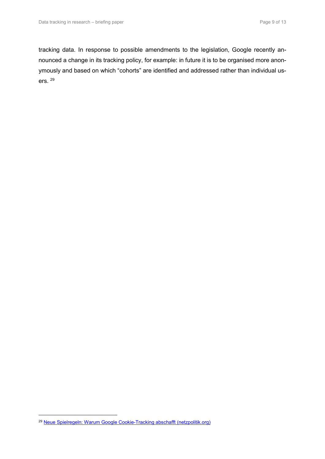tracking data. In response to possible amendments to the legislation, Google recently announced a change in its tracking policy, for example: in future it is to be organised more anonymously and based on which "cohorts" are identified and addressed rather than individual users. <sup>29</sup>

<sup>&</sup>lt;sup>29</sup> Neue Spielregeln: Warum Google Cookie-Tracking abschafft (netzpolitik.org)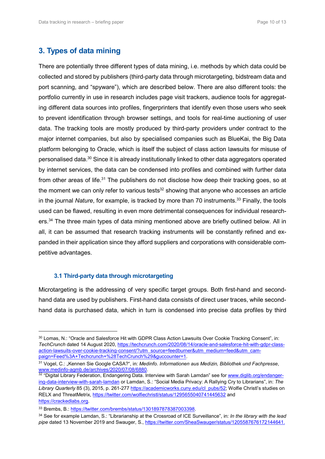# 3. Types of data mining

There are potentially three different types of data mining, i.e. methods by which data could be collected and stored by publishers (third-party data through microtargeting, bidstream data and port scanning, and "spyware"), which are described below. There are also different tools: the portfolio currently in use in research includes page visit trackers, audience tools for aggregating different data sources into profiles, fingerprinters that identify even those users who seek to prevent identification through browser settings, and tools for real-time auctioning of user data. The tracking tools are mostly produced by third-party providers under contract to the major internet companies, but also by specialised companies such as BlueKai, the Big Data platform belonging to Oracle, which is itself the subject of class action lawsuits for misuse of personalised data.<sup>30</sup> Since it is already institutionally linked to other data aggregators operated by internet services, the data can be condensed into profiles and combined with further data from other areas of life.<sup>31</sup> The publishers do not disclose how deep their tracking goes, so at the moment we can only refer to various tests $32$  showing that anyone who accesses an article in the journal Nature, for example, is tracked by more than 70 instruments.<sup>33</sup> Finally, the tools used can be flawed, resulting in even more detrimental consequences for individual researchers.<sup>34</sup> The three main types of data mining mentioned above are briefly outlined below. All in all, it can be assumed that research tracking instruments will be constantly refined and expanded in their application since they afford suppliers and corporations with considerable competitive advantages.

#### 3.1 Third-party data through microtargeting

-

Microtargeting is the addressing of very specific target groups. Both first-hand and secondhand data are used by publishers. First-hand data consists of direct user traces, while secondhand data is purchased data, which in turn is condensed into precise data profiles by third

<sup>30</sup> Lomas, N.: "Oracle and Salesforce Hit with GDPR Class Action Lawsuits Over Cookie Tracking Consent", in: TechCrunch dated 14 August 2020, https://techcrunch.com/2020/08/14/oracle-and-salesforce-hit-with-gdpr-classaction-lawsuits-over-cookie-tracking-consent/?utm\_source=feedburner&utm\_medium=feed&utm\_campaign=Feed%3A+Techcrunch+%28TechCrunch%29&guccounter=1.

<sup>31</sup> Vogel, C.: "Kennen Sie Google CASA?", in: Medinfo. Informationen aus Medizin, Bibliothek und Fachpresse, www.medinfo-agmb.de/archives/2020/07/08/6880.

www.medinfo-agmb.de/archives/2020/07/06/0000.<br>32 "Digital Library Federation, Endangering Data. Interview with Sarah Lamdan" see for www.diglib.org/endangering-data-interview-with-sarah-lamdan or Lamdan, S.: "Social Media Privacy: A Rallying Cry to Librarians", in: The Library Quarterly 85 (3), 2015, p. 261-277 https://academicworks.cuny.edu/cl\_pubs/52; Wolfie Christl's studies on RELX and ThreatMetrix, https://twitter.com/wolfiechristl/status/1295655040741445632 and https://crackedlabs.org.

<sup>33</sup> Brembs, B.: https://twitter.com/brembs/status/1301897878387003398.

 $34$  See for example Lamdan, S.: "Librarianship at the Crossroad of ICE Surveillance", in: In the library with the lead pipe dated 13 November 2019 and Swauger, S., https://twitter.com/SheaSwauger/status/1205587676172144641.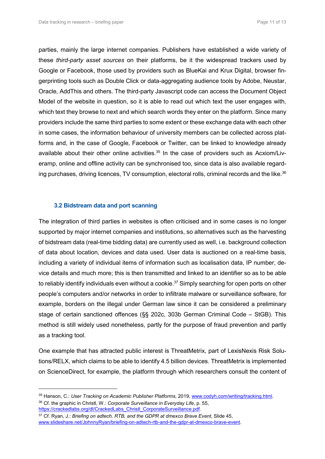parties, mainly the large internet companies. Publishers have established a wide variety of these third-party asset sources on their platforms, be it the widespread trackers used by Google or Facebook, those used by providers such as BlueKai and Krux Digital, browser fingerprinting tools such as Double Click or data-aggregating audience tools by Adobe, Neustar, Oracle, AddThis and others. The third-party Javascript code can access the Document Object Model of the website in question, so it is able to read out which text the user engages with, which text they browse to next and which search words they enter on the platform. Since many providers include the same third parties to some extent or these exchange data with each other in some cases, the information behaviour of university members can be collected across platforms and, in the case of Google, Facebook or Twitter, can be linked to knowledge already available about their other online activities.<sup>35</sup> In the case of providers such as Acxiom/Liveramp, online and offline activity can be synchronised too, since data is also available regarding purchases, driving licences, TV consumption, electoral rolls, criminal records and the like. $^{36}$ 

#### 3.2 Bidstream data and port scanning

The integration of third parties in websites is often criticised and in some cases is no longer supported by major internet companies and institutions, so alternatives such as the harvesting of bidstream data (real-time bidding data) are currently used as well, i.e. background collection of data about location, devices and data used. User data is auctioned on a real-time basis, including a variety of individual items of information such as localisation data, IP number, device details and much more; this is then transmitted and linked to an identifier so as to be able to reliably identify individuals even without a cookie.<sup>37</sup> Simply searching for open ports on other people's computers and/or networks in order to infiltrate malware or surveillance software, for example, borders on the illegal under German law since it can be considered a preliminary stage of certain sanctioned offences (§§ 202c, 303b German Criminal Code – StGB). This method is still widely used nonetheless, partly for the purpose of fraud prevention and partly as a tracking tool.

One example that has attracted public interest is ThreatMetrix, part of LexisNexis Risk Solutions/RELX, which claims to be able to identify 4.5 billion devices. ThreatMetrix is implemented on ScienceDirect, for example, the platform through which researchers consult the content of

<sup>35</sup> Hanson, C.: User Tracking on Academic Publisher Platforms, 2019, www.codyh.com/writing/tracking.html.  $36$  Cf. the graphic in Christl, W.: Corporate Surveillance in Everyday Life, p. 55, https://crackedlabs.org/dl/CrackedLabs\_Christl\_CorporateSurveillance.pdf.

 $37$  Cf. Ryan, J.: Briefing on adtech, RTB, and the GDPR at dmexco Brave Event, Slide 45, www.slideshare.net/JohnnyRyan/briefing-on-adtech-rtb-and-the-gdpr-at-dmexco-brave-event.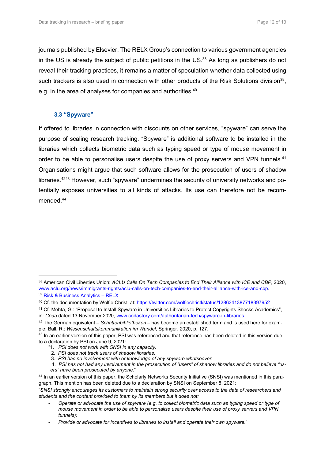journals published by Elsevier. The RELX Group's connection to various government agencies in the US is already the subject of public petitions in the US.<sup>38</sup> As long as publishers do not reveal their tracking practices, it remains a matter of speculation whether data collected using such trackers is also used in connection with other products of the Risk Solutions division<sup>39</sup>, e.g. in the area of analyses for companies and authorities.<sup>40</sup>

#### 3.3 "Spyware"

-

If offered to libraries in connection with discounts on other services, "spyware" can serve the purpose of scaling research tracking. "Spyware" is additional software to be installed in the libraries which collects biometric data such as typing speed or type of mouse movement in order to be able to personalise users despite the use of proxy servers and VPN tunnels.<sup>41</sup> Organisations might argue that such software allows for the prosecution of users of shadow libraries.<sup>4243</sup> However, such "spyware" undermines the security of university networks and potentially exposes universities to all kinds of attacks. Its use can therefore not be recommended<sup>44</sup>

<sup>41</sup> Cf. Mehta, G.: "Proposal to Install Spyware in Universities Libraries to Protect Copyrights Shocks Academics",

"SNSI strongly encourages its customers to maintain strong security over access to the data of researchers and students and the content provided to them by its members but it does not:

<sup>38</sup> American Civil Liberties Union: ACLU Calls On Tech Companies to End Their Alliance with ICE and CBP, 2020, www.aclu.org/news/immigrants-rights/aclu-calls-on-tech-companies-to-end-their-alliance-with-ice-and-cbp. <sup>39</sup> Risk & Business Analytics – RELX

<sup>40</sup> Cf. the documentation by Wolfie Christl at: https://twitter.com/wolfiechristl/status/1286341387718397952

in: Coda dated 13 November 2020, www.codastory.com/authoritarian-tech/spyware-in-libraries.

 $42$  The German equivalent – Schattenbibliotheken – has become an established term and is used here for example: Ball, R.: Wissenschaftskommunikation im Wandel, Springer, 2020, p. 127.

<sup>&</sup>lt;sup>43</sup> In an earlier version of this paper, PSI was referenced and that reference has been deleted in this version due to a declaration by PSI on June 9, 2021:

<sup>&</sup>quot;1. PSI does not work with SNSI in any capacity.

 <sup>2.</sup> PSI does not track users of shadow libraries.

 <sup>3.</sup> PSI has no involvement with or knowledge of any spyware whatsoever.

 <sup>4.</sup> PSI has not had any involvement in the prosecution of "users" of shadow libraries and do not believe "users" have been prosecuted by anyone.

<sup>44</sup> In an earlier version of this paper, the Scholarly Networks Security Initiative (SNSI) was mentioned in this paragraph. This mention has been deleted due to a declaration by SNSI on September 8, 2021:

Operate or advocate the use of spyware (e.g. to collect biometric data such as typing speed or type of mouse movement in order to be able to personalise users despite their use of proxy servers and VPN tunnels);

Provide or advocate for incentives to libraries to install and operate their own spyware."